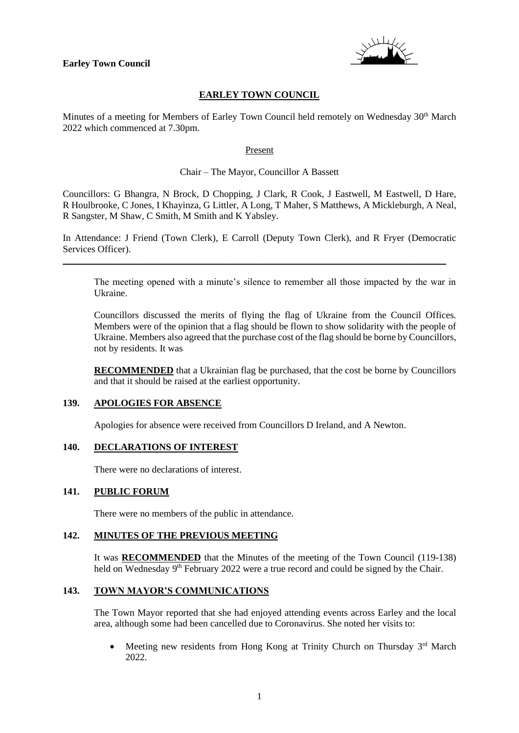

## **EARLEY TOWN COUNCIL**

Minutes of a meeting for Members of Earley Town Council held remotely on Wednesday 30<sup>th</sup> March 2022 which commenced at 7.30pm.

#### Present

#### Chair – The Mayor, Councillor A Bassett

Councillors: G Bhangra, N Brock, D Chopping, J Clark, R Cook, J Eastwell, M Eastwell, D Hare, R Houlbrooke, C Jones, I Khayinza, G Littler, A Long, T Maher, S Matthews, A Mickleburgh, A Neal, R Sangster, M Shaw, C Smith, M Smith and K Yabsley.

In Attendance: J Friend (Town Clerk), E Carroll (Deputy Town Clerk), and R Fryer (Democratic Services Officer).

\_\_\_\_\_\_\_\_\_\_\_\_\_\_\_\_\_\_\_\_\_\_\_\_\_\_\_\_\_\_\_\_\_\_\_\_\_\_\_\_\_\_\_\_\_\_\_\_\_\_\_\_\_\_\_\_\_\_\_\_\_\_\_\_\_\_\_\_\_\_\_\_\_\_\_\_\_\_\_\_

The meeting opened with a minute's silence to remember all those impacted by the war in Ukraine.

Councillors discussed the merits of flying the flag of Ukraine from the Council Offices. Members were of the opinion that a flag should be flown to show solidarity with the people of Ukraine. Members also agreed that the purchase cost of the flag should be borne by Councillors, not by residents. It was

**RECOMMENDED** that a Ukrainian flag be purchased, that the cost be borne by Councillors and that it should be raised at the earliest opportunity.

### **139. APOLOGIES FOR ABSENCE**

Apologies for absence were received from Councillors D Ireland, and A Newton.

### **140. DECLARATIONS OF INTEREST**

There were no declarations of interest.

### **141. PUBLIC FORUM**

There were no members of the public in attendance.

#### **142. MINUTES OF THE PREVIOUS MEETING**

It was **RECOMMENDED** that the Minutes of the meeting of the Town Council (119-138) held on Wednesday 9<sup>th</sup> February 2022 were a true record and could be signed by the Chair.

### **143. TOWN MAYOR'S COMMUNICATIONS**

The Town Mayor reported that she had enjoyed attending events across Earley and the local area, although some had been cancelled due to Coronavirus. She noted her visits to:

• Meeting new residents from Hong Kong at Trinity Church on Thursday  $3<sup>rd</sup>$  March 2022.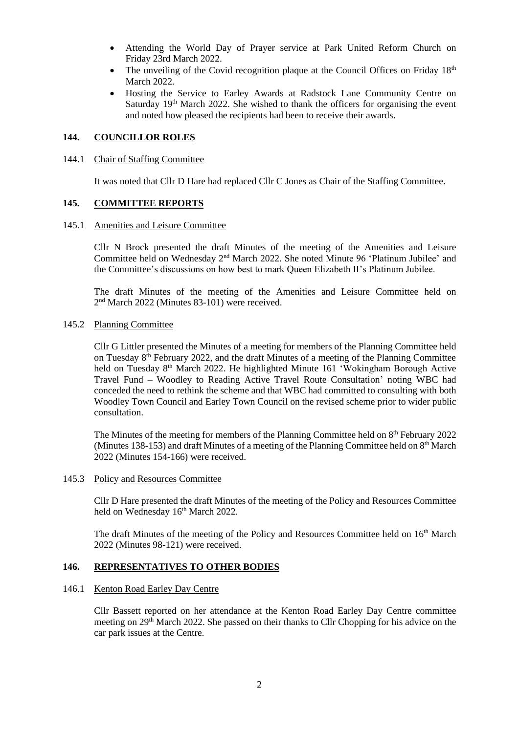- Attending the World Day of Prayer service at Park United Reform Church on Friday 23rd March 2022.
- The unveiling of the Covid recognition plaque at the Council Offices on Friday  $18<sup>th</sup>$ March 2022.
- Hosting the Service to Earley Awards at Radstock Lane Community Centre on Saturday  $19<sup>th</sup>$  March 2022. She wished to thank the officers for organising the event and noted how pleased the recipients had been to receive their awards.

### **144. COUNCILLOR ROLES**

### 144.1 Chair of Staffing Committee

It was noted that Cllr D Hare had replaced Cllr C Jones as Chair of the Staffing Committee.

### **145. COMMITTEE REPORTS**

#### 145.1 Amenities and Leisure Committee

Cllr N Brock presented the draft Minutes of the meeting of the Amenities and Leisure Committee held on Wednesday 2<sup>nd</sup> March 2022. She noted Minute 96 'Platinum Jubilee' and the Committee's discussions on how best to mark Queen Elizabeth II's Platinum Jubilee.

The draft Minutes of the meeting of the Amenities and Leisure Committee held on 2 nd March 2022 (Minutes 83-101) were received.

### 145.2 Planning Committee

Cllr G Littler presented the Minutes of a meeting for members of the Planning Committee held on Tuesday 8<sup>th</sup> February 2022, and the draft Minutes of a meeting of the Planning Committee held on Tuesday 8<sup>th</sup> March 2022. He highlighted Minute 161 'Wokingham Borough Active Travel Fund – Woodley to Reading Active Travel Route Consultation' noting WBC had conceded the need to rethink the scheme and that WBC had committed to consulting with both Woodley Town Council and Earley Town Council on the revised scheme prior to wider public consultation.

The Minutes of the meeting for members of the Planning Committee held on 8<sup>th</sup> February 2022 (Minutes 138-153) and draft Minutes of a meeting of the Planning Committee held on  $8<sup>th</sup>$  March 2022 (Minutes 154-166) were received.

### 145.3 Policy and Resources Committee

Cllr D Hare presented the draft Minutes of the meeting of the Policy and Resources Committee held on Wednesday 16th March 2022.

The draft Minutes of the meeting of the Policy and Resources Committee held on 16<sup>th</sup> March 2022 (Minutes 98-121) were received.

### **146. REPRESENTATIVES TO OTHER BODIES**

#### 146.1 Kenton Road Earley Day Centre

Cllr Bassett reported on her attendance at the Kenton Road Earley Day Centre committee meeting on 29<sup>th</sup> March 2022. She passed on their thanks to Cllr Chopping for his advice on the car park issues at the Centre.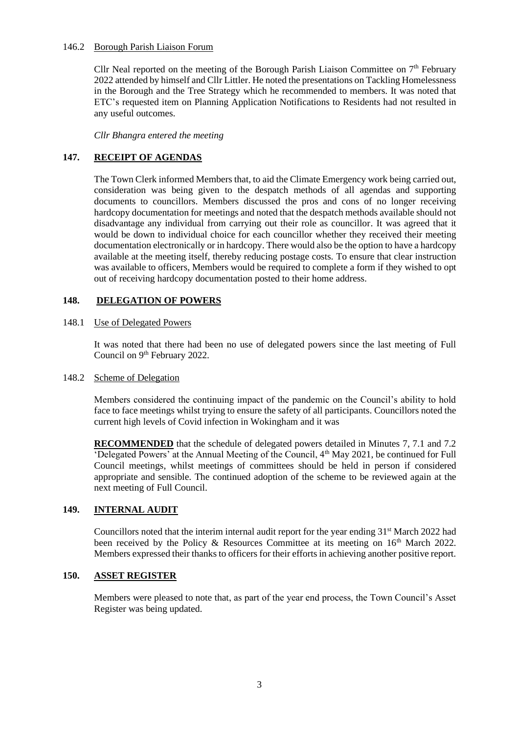### 146.2 Borough Parish Liaison Forum

Cllr Neal reported on the meeting of the Borough Parish Liaison Committee on  $7<sup>th</sup>$  February 2022 attended by himself and Cllr Littler. He noted the presentations on Tackling Homelessness in the Borough and the Tree Strategy which he recommended to members. It was noted that ETC's requested item on Planning Application Notifications to Residents had not resulted in any useful outcomes.

*Cllr Bhangra entered the meeting*

## **147. RECEIPT OF AGENDAS**

The Town Clerk informed Members that, to aid the Climate Emergency work being carried out, consideration was being given to the despatch methods of all agendas and supporting documents to councillors. Members discussed the pros and cons of no longer receiving hardcopy documentation for meetings and noted that the despatch methods available should not disadvantage any individual from carrying out their role as councillor. It was agreed that it would be down to individual choice for each councillor whether they received their meeting documentation electronically or in hardcopy. There would also be the option to have a hardcopy available at the meeting itself, thereby reducing postage costs. To ensure that clear instruction was available to officers, Members would be required to complete a form if they wished to opt out of receiving hardcopy documentation posted to their home address.

## **148. DELEGATION OF POWERS**

### 148.1 Use of Delegated Powers

It was noted that there had been no use of delegated powers since the last meeting of Full Council on 9<sup>th</sup> February 2022.

### 148.2 Scheme of Delegation

Members considered the continuing impact of the pandemic on the Council's ability to hold face to face meetings whilst trying to ensure the safety of all participants. Councillors noted the current high levels of Covid infection in Wokingham and it was

**RECOMMENDED** that the schedule of delegated powers detailed in Minutes 7, 7.1 and 7.2 'Delegated Powers' at the Annual Meeting of the Council, 4th May 2021, be continued for Full Council meetings, whilst meetings of committees should be held in person if considered appropriate and sensible. The continued adoption of the scheme to be reviewed again at the next meeting of Full Council.

# **149. INTERNAL AUDIT**

Councillors noted that the interim internal audit report for the year ending 31<sup>st</sup> March 2022 had been received by the Policy & Resources Committee at its meeting on  $16<sup>th</sup>$  March 2022. Members expressed their thanks to officers for their efforts in achieving another positive report.

## **150. ASSET REGISTER**

Members were pleased to note that, as part of the year end process, the Town Council's Asset Register was being updated.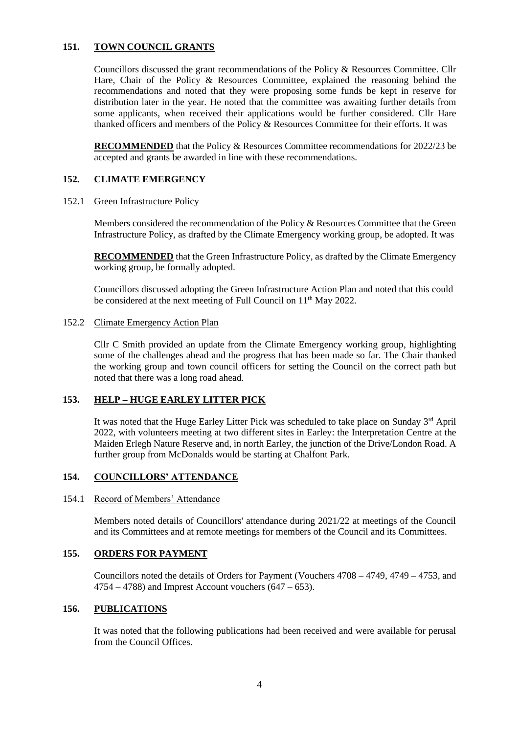### **151. TOWN COUNCIL GRANTS**

Councillors discussed the grant recommendations of the Policy & Resources Committee. Cllr Hare, Chair of the Policy & Resources Committee, explained the reasoning behind the recommendations and noted that they were proposing some funds be kept in reserve for distribution later in the year. He noted that the committee was awaiting further details from some applicants, when received their applications would be further considered. Cllr Hare thanked officers and members of the Policy & Resources Committee for their efforts. It was

**RECOMMENDED** that the Policy & Resources Committee recommendations for 2022/23 be accepted and grants be awarded in line with these recommendations.

### **152. CLIMATE EMERGENCY**

152.1 Green Infrastructure Policy

Members considered the recommendation of the Policy & Resources Committee that the Green Infrastructure Policy, as drafted by the Climate Emergency working group, be adopted. It was

**RECOMMENDED** that the Green Infrastructure Policy, as drafted by the Climate Emergency working group, be formally adopted.

Councillors discussed adopting the Green Infrastructure Action Plan and noted that this could be considered at the next meeting of Full Council on 11<sup>th</sup> May 2022.

#### 152.2 Climate Emergency Action Plan

Cllr C Smith provided an update from the Climate Emergency working group, highlighting some of the challenges ahead and the progress that has been made so far. The Chair thanked the working group and town council officers for setting the Council on the correct path but noted that there was a long road ahead.

### **153. HELP – HUGE EARLEY LITTER PICK**

It was noted that the Huge Earley Litter Pick was scheduled to take place on Sunday 3rd April 2022, with volunteers meeting at two different sites in Earley: the Interpretation Centre at the Maiden Erlegh Nature Reserve and, in north Earley, the junction of the Drive/London Road. A further group from McDonalds would be starting at Chalfont Park.

# **154. COUNCILLORS' ATTENDANCE**

#### 154.1 Record of Members' Attendance

Members noted details of Councillors' attendance during 2021/22 at meetings of the Council and its Committees and at remote meetings for members of the Council and its Committees.

### **155. ORDERS FOR PAYMENT**

Councillors noted the details of Orders for Payment (Vouchers 4708 – 4749, 4749 – 4753, and  $4754 - 4788$ ) and Imprest Account vouchers  $(647 - 653)$ .

### **156. PUBLICATIONS**

It was noted that the following publications had been received and were available for perusal from the Council Offices.